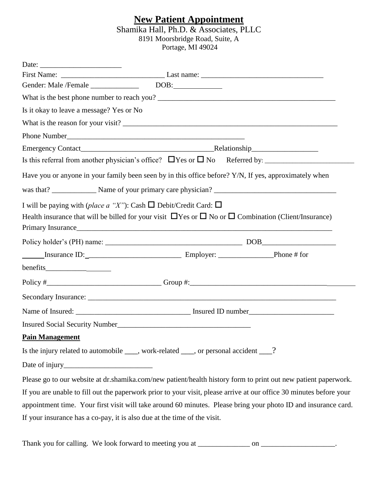### **New Patient Appointment**

#### Shamika Hall, Ph.D. & Associates, PLLC 8191 Moorsbridge Road, Suite, A Portage, MI 49024

| Is it okay to leave a message? Yes or No                                   |                                                                                                                                                                                                                                |  |  |
|----------------------------------------------------------------------------|--------------------------------------------------------------------------------------------------------------------------------------------------------------------------------------------------------------------------------|--|--|
|                                                                            |                                                                                                                                                                                                                                |  |  |
|                                                                            |                                                                                                                                                                                                                                |  |  |
|                                                                            |                                                                                                                                                                                                                                |  |  |
|                                                                            |                                                                                                                                                                                                                                |  |  |
|                                                                            | Have you or anyone in your family been seen by in this office before? Y/N, If yes, approximately when                                                                                                                          |  |  |
|                                                                            |                                                                                                                                                                                                                                |  |  |
| I will be paying with (place a "X"): Cash $\Box$ Debit/Credit Card: $\Box$ |                                                                                                                                                                                                                                |  |  |
|                                                                            | Health insurance that will be billed for your visit $\Box$ Yes or $\Box$ No or $\Box$ Combination (Client/Insurance)                                                                                                           |  |  |
|                                                                            | Primary Insurance has a series of the contract of the contract of the contract of the contract of the contract of the contract of the contract of the contract of the contract of the contract of the contract of the contract |  |  |
|                                                                            |                                                                                                                                                                                                                                |  |  |
|                                                                            |                                                                                                                                                                                                                                |  |  |
|                                                                            |                                                                                                                                                                                                                                |  |  |
|                                                                            |                                                                                                                                                                                                                                |  |  |
|                                                                            |                                                                                                                                                                                                                                |  |  |
|                                                                            |                                                                                                                                                                                                                                |  |  |
|                                                                            | Insured Social Security Number                                                                                                                                                                                                 |  |  |
| <b>Pain Management</b>                                                     |                                                                                                                                                                                                                                |  |  |
|                                                                            | Is the injury related to automobile ____, work-related ___, or personal accident ___?                                                                                                                                          |  |  |
|                                                                            |                                                                                                                                                                                                                                |  |  |
|                                                                            | Please go to our website at dr.shamika.com/new patient/health history form to print out new patient paperwork.                                                                                                                 |  |  |
|                                                                            | If you are unable to fill out the paperwork prior to your visit, please arrive at our office 30 minutes before your                                                                                                            |  |  |
|                                                                            | appointment time. Your first visit will take around 60 minutes. Please bring your photo ID and insurance card.                                                                                                                 |  |  |
| If your insurance has a co-pay, it is also due at the time of the visit.   |                                                                                                                                                                                                                                |  |  |

Thank you for calling. We look forward to meeting you at \_\_\_\_\_\_\_\_\_\_\_\_\_\_ on \_\_\_\_\_\_\_\_\_\_\_\_\_\_\_\_\_.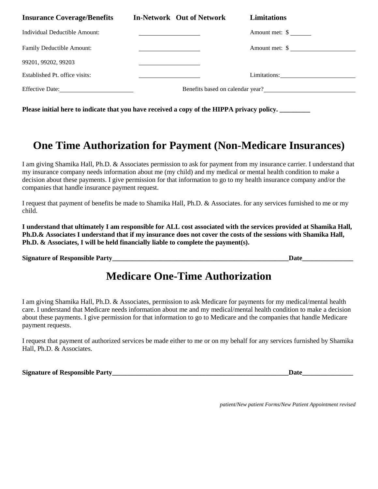| <b>Insurance Coverage/Benefits</b> | <b>In-Network Out of Network</b>                    | <b>Limitations</b>               |
|------------------------------------|-----------------------------------------------------|----------------------------------|
| Individual Deductible Amount:      | <u> 2008 - Andrea Britain, amerikansk politik (</u> | Amount met: $\frac{1}{2}$        |
| Family Deductible Amount:          |                                                     | Amount met: \$                   |
| 99201, 99202, 99203                |                                                     |                                  |
| Established Pt. office visits:     |                                                     | Limitations:                     |
| Effective Date:                    |                                                     | Benefits based on calendar year? |

Please initial here to indicate that you have received a copy of the HIPPA privacy policy.

### **One Time Authorization for Payment (Non-Medicare Insurances)**

I am giving Shamika Hall, Ph.D. & Associates permission to ask for payment from my insurance carrier. I understand that my insurance company needs information about me (my child) and my medical or mental health condition to make a decision about these payments. I give permission for that information to go to my health insurance company and/or the companies that handle insurance payment request.

I request that payment of benefits be made to Shamika Hall, Ph.D. & Associates. for any services furnished to me or my child.

**I understand that ultimately I am responsible for ALL cost associated with the services provided at Shamika Hall, Ph.D.& Associates I understand that if my insurance does not cover the costs of the sessions with Shamika Hall, Ph.D. & Associates, I will be held financially liable to complete the payment(s).** 

**Signature of Responsible Party** 

## **Medicare One-Time Authorization**

I am giving Shamika Hall, Ph.D. & Associates, permission to ask Medicare for payments for my medical/mental health care. I understand that Medicare needs information about me and my medical/mental health condition to make a decision about these payments. I give permission for that information to go to Medicare and the companies that handle Medicare payment requests.

I request that payment of authorized services be made either to me or on my behalf for any services furnished by Shamika Hall, Ph.D. & Associates.

**Signature of Responsible Party\_\_\_\_\_\_\_\_\_\_\_\_\_\_\_\_\_\_\_\_\_\_\_\_\_\_\_\_\_\_\_\_\_\_\_\_\_\_\_\_\_\_\_\_\_\_\_\_\_\_\_\_Date\_\_\_\_\_\_\_\_\_\_\_\_\_\_\_**

*patient/New patient Forms/New Patient Appointment revised*